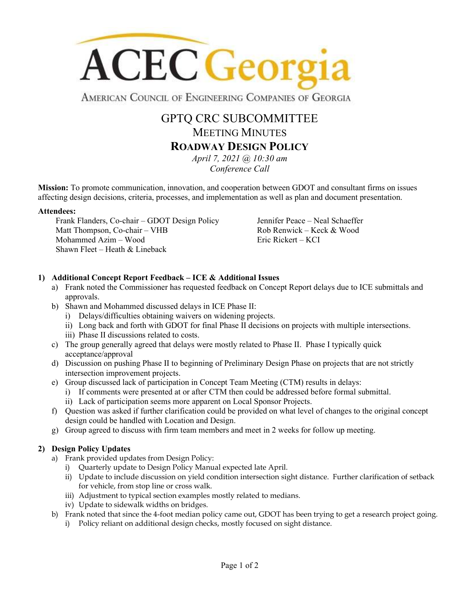

AMERICAN COUNCIL OF ENGINEERING COMPANIES OF GEORGIA

# GPTQ CRC SUBCOMMITTEE MEETING MINUTES **ROADWAY DESIGN POLICY**

*April 7, 2021 @ 10:30 am Conference Call*

**Mission:** To promote communication, innovation, and cooperation between GDOT and consultant firms on issues affecting design decisions, criteria, processes, and implementation as well as plan and document presentation.

#### **Attendees:**

Frank Flanders, Co-chair – GDOT Design Policy Matt Thompson, Co-chair – VHB Mohammed Azim – Wood Shawn Fleet – Heath  $&$  Lineback

Jennifer Peace – Neal Schaeffer Rob Renwick – Keck & Wood Eric Rickert – KCI

### **1) Additional Concept Report Feedback – ICE & Additional Issues**

- a) Frank noted the Commissioner has requested feedback on Concept Report delays due to ICE submittals and approvals.
- b) Shawn and Mohammed discussed delays in ICE Phase II:
	- i) Delays/difficulties obtaining waivers on widening projects.
	- ii) Long back and forth with GDOT for final Phase II decisions on projects with multiple intersections.
	- iii) Phase II discussions related to costs.
- c) The group generally agreed that delays were mostly related to Phase II. Phase I typically quick acceptance/approval
- d) Discussion on pushing Phase II to beginning of Preliminary Design Phase on projects that are not strictly intersection improvement projects.
- e) Group discussed lack of participation in Concept Team Meeting (CTM) results in delays:
	- i) If comments were presented at or after CTM then could be addressed before formal submittal.
	- ii) Lack of participation seems more apparent on Local Sponsor Projects.
- f) Question was asked if further clarification could be provided on what level of changes to the original concept design could be handled with Location and Design.
- g) Group agreed to discuss with firm team members and meet in 2 weeks for follow up meeting.

#### **2) Design Policy Updates**

- a) Frank provided updates from Design Policy:
	- i) Quarterly update to Design Policy Manual expected late April.
	- ii) Update to include discussion on yield condition intersection sight distance. Further clarification of setback for vehicle, from stop line or cross walk.
	- iii) Adjustment to typical section examples mostly related to medians.
	- iv) Update to sidewalk widths on bridges.
- b) Frank noted that since the 4-foot median policy came out, GDOT has been trying to get a research project going.
	- i) Policy reliant on additional design checks, mostly focused on sight distance.